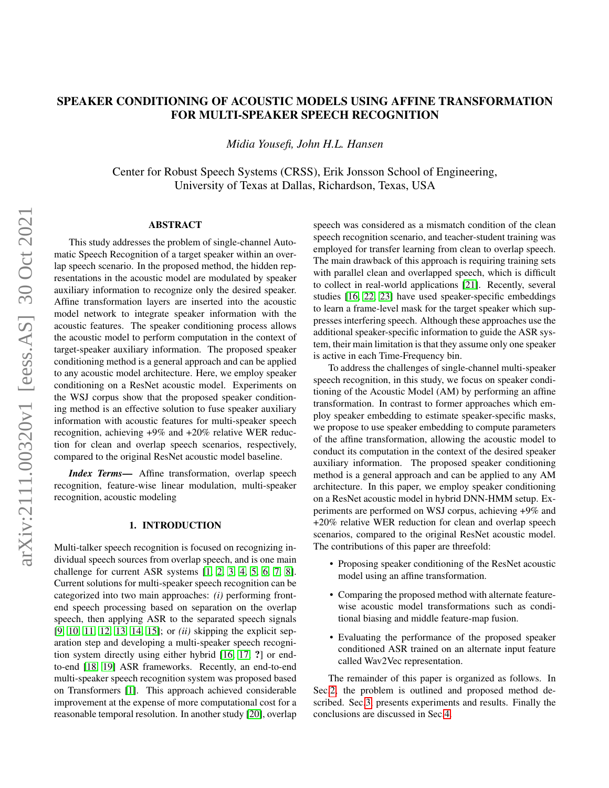# SPEAKER CONDITIONING OF ACOUSTIC MODELS USING AFFINE TRANSFORMATION FOR MULTI-SPEAKER SPEECH RECOGNITION

*Midia Yousefi, John H.L. Hansen*

Center for Robust Speech Systems (CRSS), Erik Jonsson School of Engineering, University of Texas at Dallas, Richardson, Texas, USA

## ABSTRACT

This study addresses the problem of single-channel Automatic Speech Recognition of a target speaker within an overlap speech scenario. In the proposed method, the hidden representations in the acoustic model are modulated by speaker auxiliary information to recognize only the desired speaker. Affine transformation layers are inserted into the acoustic model network to integrate speaker information with the acoustic features. The speaker conditioning process allows the acoustic model to perform computation in the context of target-speaker auxiliary information. The proposed speaker conditioning method is a general approach and can be applied to any acoustic model architecture. Here, we employ speaker conditioning on a ResNet acoustic model. Experiments on the WSJ corpus show that the proposed speaker conditioning method is an effective solution to fuse speaker auxiliary information with acoustic features for multi-speaker speech recognition, achieving +9% and +20% relative WER reduction for clean and overlap speech scenarios, respectively, compared to the original ResNet acoustic model baseline.

*Index Terms*— Affine transformation, overlap speech recognition, feature-wise linear modulation, multi-speaker recognition, acoustic modeling

## 1. INTRODUCTION

Multi-talker speech recognition is focused on recognizing individual speech sources from overlap speech, and is one main challenge for current ASR systems [\[1,](#page-4-0) [2,](#page-4-1) [3,](#page-4-2) [4,](#page-4-3) [5,](#page-4-4) [6,](#page-4-5) [7,](#page-4-6) [8\]](#page-4-7). Current solutions for multi-speaker speech recognition can be categorized into two main approaches: *(i)* performing frontend speech processing based on separation on the overlap speech, then applying ASR to the separated speech signals [\[9,](#page-4-8) [10,](#page-4-9) [11,](#page-4-10) [12,](#page-4-11) [13,](#page-4-12) [14,](#page-4-13) [15\]](#page-4-14); or *(ii)* skipping the explicit separation step and developing a multi-speaker speech recognition system directly using either hybrid [\[16,](#page-4-15) [17,](#page-4-16) ?] or endto-end [\[18,](#page-4-17) [19\]](#page-4-18) ASR frameworks. Recently, an end-to-end multi-speaker speech recognition system was proposed based on Transformers [\[1\]](#page-4-0). This approach achieved considerable improvement at the expense of more computational cost for a reasonable temporal resolution. In another study [\[20\]](#page-5-0), overlap

speech was considered as a mismatch condition of the clean speech recognition scenario, and teacher-student training was employed for transfer learning from clean to overlap speech. The main drawback of this approach is requiring training sets with parallel clean and overlapped speech, which is difficult to collect in real-world applications [\[21\]](#page-5-1). Recently, several studies [\[16,](#page-4-15) [22,](#page-5-2) [23\]](#page-5-3) have used speaker-specific embeddings to learn a frame-level mask for the target speaker which suppresses interfering speech. Although these approaches use the additional speaker-specific information to guide the ASR system, their main limitation is that they assume only one speaker is active in each Time-Frequency bin.

To address the challenges of single-channel multi-speaker speech recognition, in this study, we focus on speaker conditioning of the Acoustic Model (AM) by performing an affine transformation. In contrast to former approaches which employ speaker embedding to estimate speaker-specific masks, we propose to use speaker embedding to compute parameters of the affine transformation, allowing the acoustic model to conduct its computation in the context of the desired speaker auxiliary information. The proposed speaker conditioning method is a general approach and can be applied to any AM architecture. In this paper, we employ speaker conditioning on a ResNet acoustic model in hybrid DNN-HMM setup. Experiments are performed on WSJ corpus, achieving +9% and +20% relative WER reduction for clean and overlap speech scenarios, compared to the original ResNet acoustic model. The contributions of this paper are threefold:

- Proposing speaker conditioning of the ResNet acoustic model using an affine transformation.
- Comparing the proposed method with alternate featurewise acoustic model transformations such as conditional biasing and middle feature-map fusion.
- Evaluating the performance of the proposed speaker conditioned ASR trained on an alternate input feature called Wav2Vec representation.

The remainder of this paper is organized as follows. In Sec[.2,](#page-1-0) the problem is outlined and proposed method described. Sec[.3,](#page-2-0) presents experiments and results. Finally the conclusions are discussed in Sec[.4.](#page-3-0)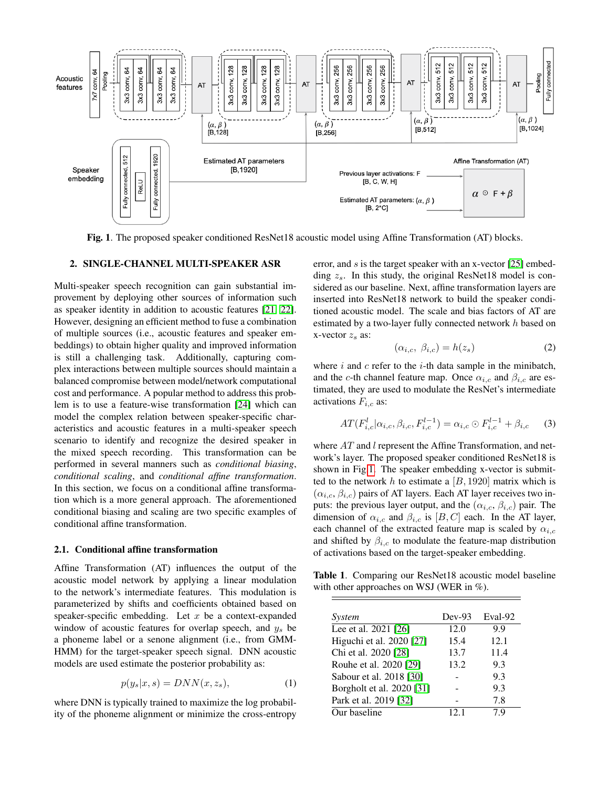

<span id="page-1-1"></span>Fig. 1. The proposed speaker conditioned ResNet18 acoustic model using Affine Transformation (AT) blocks.

## <span id="page-1-0"></span>2. SINGLE-CHANNEL MULTI-SPEAKER ASR

Multi-speaker speech recognition can gain substantial improvement by deploying other sources of information such as speaker identity in addition to acoustic features [\[21,](#page-5-1) [22\]](#page-5-2). However, designing an efficient method to fuse a combination of multiple sources (i.e., acoustic features and speaker embeddings) to obtain higher quality and improved information is still a challenging task. Additionally, capturing complex interactions between multiple sources should maintain a balanced compromise between model/network computational cost and performance. A popular method to address this problem is to use a feature-wise transformation [\[24\]](#page-5-4) which can model the complex relation between speaker-specific characteristics and acoustic features in a multi-speaker speech scenario to identify and recognize the desired speaker in the mixed speech recording. This transformation can be performed in several manners such as *conditional biasing*, *conditional scaling*, and *conditional affine transformation*. In this section, we focus on a conditional affine transformation which is a more general approach. The aforementioned conditional biasing and scaling are two specific examples of conditional affine transformation.

### 2.1. Conditional affine transformation

Affine Transformation (AT) influences the output of the acoustic model network by applying a linear modulation to the network's intermediate features. This modulation is parameterized by shifts and coefficients obtained based on speaker-specific embedding. Let  $x$  be a context-expanded window of acoustic features for overlap speech, and  $y_s$  be a phoneme label or a senone alignment (i.e., from GMM-HMM) for the target-speaker speech signal. DNN acoustic models are used estimate the posterior probability as:

$$
p(y_s|x,s) = DNN(x,z_s),\tag{1}
$$

where DNN is typically trained to maximize the log probability of the phoneme alignment or minimize the cross-entropy error, and s is the target speaker with an x-vector [\[25\]](#page-5-5) embedding  $z_s$ . In this study, the original ResNet18 model is considered as our baseline. Next, affine transformation layers are inserted into ResNet18 network to build the speaker conditioned acoustic model. The scale and bias factors of AT are estimated by a two-layer fully connected network h based on x-vector  $z<sub>s</sub>$  as:

$$
(\alpha_{i,c}, \beta_{i,c}) = h(z_s) \tag{2}
$$

where  $i$  and  $c$  refer to the  $i$ -th data sample in the minibatch, and the c-th channel feature map. Once  $\alpha_{i,c}$  and  $\beta_{i,c}$  are estimated, they are used to modulate the ResNet's intermediate activations  $F_{i,c}$  as:

$$
AT(F_{i,c}^l | \alpha_{i,c}, \beta_{i,c}, F_{i,c}^{l-1}) = \alpha_{i,c} \odot F_{i,c}^{l-1} + \beta_{i,c} \tag{3}
$$

where AT and l represent the Affine Transformation, and network's layer. The proposed speaker conditioned ResNet18 is shown in Fig[.1.](#page-1-1) The speaker embedding x-vector is submitted to the network h to estimate a  $[B, 1920]$  matrix which is  $(\alpha_{i,c}, \beta_{i,c})$  pairs of AT layers. Each AT layer receives two inputs: the previous layer output, and the  $(\alpha_{i,c}, \beta_{i,c})$  pair. The dimension of  $\alpha_{i,c}$  and  $\beta_{i,c}$  is  $[B, C]$  each. In the AT layer, each channel of the extracted feature map is scaled by  $\alpha_{i,c}$ and shifted by  $\beta_{i,c}$  to modulate the feature-map distribution of activations based on the target-speaker embedding.

<span id="page-1-2"></span>Table 1. Comparing our ResNet18 acoustic model baseline with other approaches on WSJ (WER in %).

| System                    | $Dev-93$ | Eval-92 |
|---------------------------|----------|---------|
| Lee et al. 2021 [26]      | 12.0     | 9.9     |
| Higuchi et al. 2020 [27]  | 15.4     | 12.1    |
| Chi et al. 2020 [28]      | 13.7     | 11.4    |
| Rouhe et al. 2020 [29]    | 13.2     | 9.3     |
| Sabour et al. 2018 [30]   |          | 9.3     |
| Borgholt et al. 2020 [31] |          | 9.3     |
| Park et al. 2019 [32]     |          | 7.8     |
| Our baseline              | 121      | 7 Q     |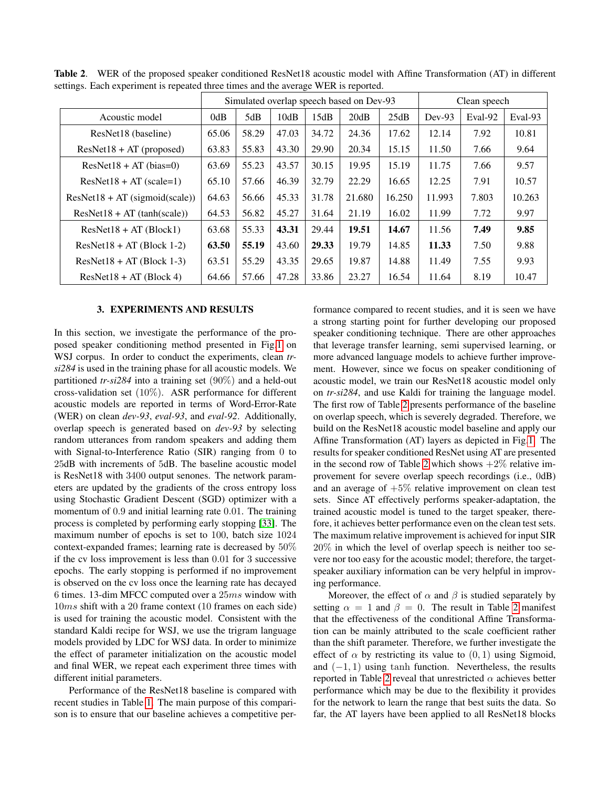|                                  | Simulated overlap speech based on Dev-93 |       |       | Clean speech |        |        |          |         |         |
|----------------------------------|------------------------------------------|-------|-------|--------------|--------|--------|----------|---------|---------|
| Acoustic model                   | 0dB                                      | 5dB   | 10dB  | 15dB         | 20dB   | 25dB   | $Dev-93$ | Eval-92 | Eval-93 |
| ResNet18 (baseline)              | 65.06                                    | 58.29 | 47.03 | 34.72        | 24.36  | 17.62  | 12.14    | 7.92    | 10.81   |
| $ResNet18 + AT$ (proposed)       | 63.83                                    | 55.83 | 43.30 | 29.90        | 20.34  | 15.15  | 11.50    | 7.66    | 9.64    |
| $ResNet18 + AT (bias=0)$         | 63.69                                    | 55.23 | 43.57 | 30.15        | 19.95  | 15.19  | 11.75    | 7.66    | 9.57    |
| $ResNet18 + AT$ (scale=1)        | 65.10                                    | 57.66 | 46.39 | 32.79        | 22.29  | 16.65  | 12.25    | 7.91    | 10.57   |
| $ResNet18 + AT$ (sigmoid(scale)) | 64.63                                    | 56.66 | 45.33 | 31.78        | 21.680 | 16.250 | 11.993   | 7.803   | 10.263  |
| $ResNet18 + AT$ (tanh(scale))    | 64.53                                    | 56.82 | 45.27 | 31.64        | 21.19  | 16.02  | 11.99    | 7.72    | 9.97    |
| $ResNet18 + AT(Block1)$          | 63.68                                    | 55.33 | 43.31 | 29.44        | 19.51  | 14.67  | 11.56    | 7.49    | 9.85    |
| $ResNet18 + AT$ (Block 1-2)      | 63.50                                    | 55.19 | 43.60 | 29.33        | 19.79  | 14.85  | 11.33    | 7.50    | 9.88    |
| $ResNet18 + AT$ (Block 1-3)      | 63.51                                    | 55.29 | 43.35 | 29.65        | 19.87  | 14.88  | 11.49    | 7.55    | 9.93    |
| $ResNet18 + AT$ (Block 4)        | 64.66                                    | 57.66 | 47.28 | 33.86        | 23.27  | 16.54  | 11.64    | 8.19    | 10.47   |

<span id="page-2-1"></span>Table 2. WER of the proposed speaker conditioned ResNet18 acoustic model with Affine Transformation (AT) in different settings. Each experiment is repeated three times and the average WER is reported.

#### 3. EXPERIMENTS AND RESULTS

<span id="page-2-0"></span>In this section, we investigate the performance of the proposed speaker conditioning method presented in Fig[.1](#page-1-1) on WSJ corpus. In order to conduct the experiments, clean *trsi284* is used in the training phase for all acoustic models. We partitioned *tr-si284* into a training set (90%) and a held-out cross-validation set (10%). ASR performance for different acoustic models are reported in terms of Word-Error-Rate (WER) on clean *dev-93*, *eval-93*, and *eval-92*. Additionally, overlap speech is generated based on *dev-93* by selecting random utterances from random speakers and adding them with Signal-to-Interference Ratio (SIR) ranging from 0 to 25dB with increments of 5dB. The baseline acoustic model is ResNet18 with 3400 output senones. The network parameters are updated by the gradients of the cross entropy loss using Stochastic Gradient Descent (SGD) optimizer with a momentum of 0.9 and initial learning rate 0.01. The training process is completed by performing early stopping [\[33\]](#page-5-13). The maximum number of epochs is set to 100, batch size 1024 context-expanded frames; learning rate is decreased by 50% if the cv loss improvement is less than 0.01 for 3 successive epochs. The early stopping is performed if no improvement is observed on the cv loss once the learning rate has decayed 6 times. 13-dim MFCC computed over a 25ms window with 10ms shift with a 20 frame context (10 frames on each side) is used for training the acoustic model. Consistent with the standard Kaldi recipe for WSJ, we use the trigram language models provided by LDC for WSJ data. In order to minimize the effect of parameter initialization on the acoustic model and final WER, we repeat each experiment three times with different initial parameters.

Performance of the ResNet18 baseline is compared with recent studies in Table [1.](#page-1-2) The main purpose of this comparison is to ensure that our baseline achieves a competitive performance compared to recent studies, and it is seen we have a strong starting point for further developing our proposed speaker conditioning technique. There are other approaches that leverage transfer learning, semi supervised learning, or more advanced language models to achieve further improvement. However, since we focus on speaker conditioning of acoustic model, we train our ResNet18 acoustic model only on *tr-si284*, and use Kaldi for training the language model. The first row of Table [2](#page-2-1) presents performance of the baseline on overlap speech, which is severely degraded. Therefore, we build on the ResNet18 acoustic model baseline and apply our Affine Transformation (AT) layers as depicted in Fig[.1.](#page-1-1) The results for speaker conditioned ResNet using AT are presented in the second row of Table [2](#page-2-1) which shows  $+2\%$  relative improvement for severe overlap speech recordings (i.e., 0dB) and an average of  $+5\%$  relative improvement on clean test sets. Since AT effectively performs speaker-adaptation, the trained acoustic model is tuned to the target speaker, therefore, it achieves better performance even on the clean test sets. The maximum relative improvement is achieved for input SIR 20% in which the level of overlap speech is neither too severe nor too easy for the acoustic model; therefore, the targetspeaker auxiliary information can be very helpful in improving performance.

Moreover, the effect of  $\alpha$  and  $\beta$  is studied separately by setting  $\alpha = 1$  and  $\beta = 0$ . The result in Table [2](#page-2-1) manifest that the effectiveness of the conditional Affine Transformation can be mainly attributed to the scale coefficient rather than the shift parameter. Therefore, we further investigate the effect of  $\alpha$  by restricting its value to  $(0, 1)$  using Sigmoid, and  $(-1, 1)$  using tanh function. Nevertheless, the results reported in Table [2](#page-2-1) reveal that unrestricted  $\alpha$  achieves better performance which may be due to the flexibility it provides for the network to learn the range that best suits the data. So far, the AT layers have been applied to all ResNet18 blocks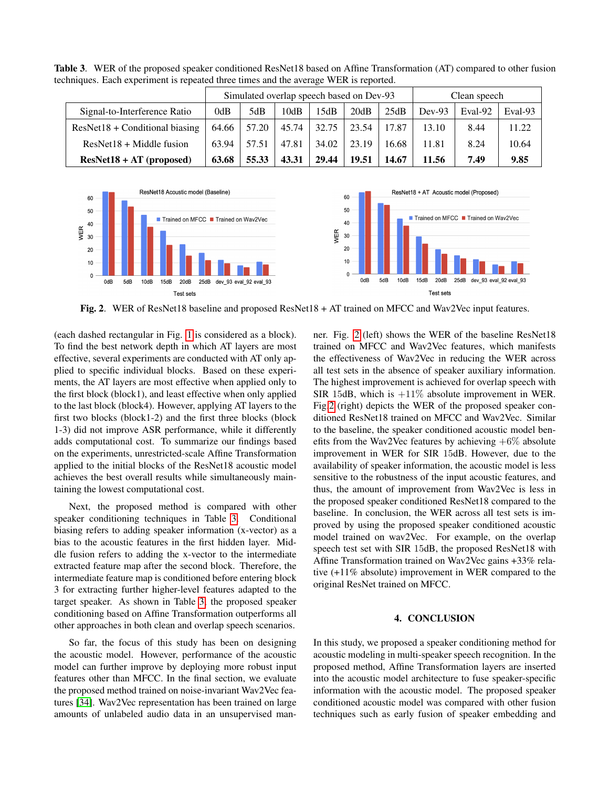<span id="page-3-1"></span>

|                                  | Simulated overlap speech based on Dev-93 |       |       |       | Clean speech |       |          |         |         |
|----------------------------------|------------------------------------------|-------|-------|-------|--------------|-------|----------|---------|---------|
| Signal-to-Interference Ratio     | 0dB                                      | 5dB   | 10dB  | 15dB  | 20dB         | 25dB  | $Dev-93$ | Eval-92 | Eval-93 |
| $ResNet18 + Conditional biasing$ | 64.66                                    | 57.20 | 45.74 | 32.75 | 23.54        | 17.87 | 13.10    | 8.44    | 11.22   |
| $ResNet18 + Middle fusion$       | 63.94                                    | 57.51 | 47.81 | 34.02 | 23.19        | 16.68 | 11.81    | 8.24    | 10.64   |
| $ResNet18 + AT$ (proposed)       | 63.68                                    | 55.33 | 43.31 | 29.44 | 19.51        | 14.67 | 11.56    | 7.49    | 9.85    |

Table 3. WER of the proposed speaker conditioned ResNet18 based on Affine Transformation (AT) compared to other fusion techniques. Each experiment is repeated three times and the average WER is reported.



<span id="page-3-2"></span>Fig. 2. WER of ResNet18 baseline and proposed ResNet18 + AT trained on MFCC and Wav2Vec input features.

(each dashed rectangular in Fig. [1](#page-1-1) is considered as a block). To find the best network depth in which AT layers are most effective, several experiments are conducted with AT only applied to specific individual blocks. Based on these experiments, the AT layers are most effective when applied only to the first block (block1), and least effective when only applied to the last block (block4). However, applying AT layers to the first two blocks (block1-2) and the first three blocks (block 1-3) did not improve ASR performance, while it differently adds computational cost. To summarize our findings based on the experiments, unrestricted-scale Affine Transformation applied to the initial blocks of the ResNet18 acoustic model achieves the best overall results while simultaneously maintaining the lowest computational cost.

Next, the proposed method is compared with other speaker conditioning techniques in Table [3.](#page-3-1) Conditional biasing refers to adding speaker information (x-vector) as a bias to the acoustic features in the first hidden layer. Middle fusion refers to adding the x-vector to the intermediate extracted feature map after the second block. Therefore, the intermediate feature map is conditioned before entering block 3 for extracting further higher-level features adapted to the target speaker. As shown in Table [3,](#page-3-1) the proposed speaker conditioning based on Affine Transformation outperforms all other approaches in both clean and overlap speech scenarios.

So far, the focus of this study has been on designing the acoustic model. However, performance of the acoustic model can further improve by deploying more robust input features other than MFCC. In the final section, we evaluate the proposed method trained on noise-invariant Wav2Vec features [\[34\]](#page-5-14). Wav2Vec representation has been trained on large amounts of unlabeled audio data in an unsupervised manner. Fig. [2](#page-3-2) (left) shows the WER of the baseline ResNet18 trained on MFCC and Wav2Vec features, which manifests the effectiveness of Wav2Vec in reducing the WER across all test sets in the absence of speaker auxiliary information. The highest improvement is achieved for overlap speech with SIR 15dB, which is  $+11\%$  absolute improvement in WER. Fig[.2](#page-3-2) (right) depicts the WER of the proposed speaker conditioned ResNet18 trained on MFCC and Wav2Vec. Similar to the baseline, the speaker conditioned acoustic model benefits from the Wav2Vec features by achieving  $+6\%$  absolute improvement in WER for SIR 15dB. However, due to the availability of speaker information, the acoustic model is less sensitive to the robustness of the input acoustic features, and thus, the amount of improvement from Wav2Vec is less in the proposed speaker conditioned ResNet18 compared to the baseline. In conclusion, the WER across all test sets is improved by using the proposed speaker conditioned acoustic model trained on wav2Vec. For example, on the overlap speech test set with SIR 15dB, the proposed ResNet18 with Affine Transformation trained on Wav2Vec gains +33% relative (+11% absolute) improvement in WER compared to the original ResNet trained on MFCC.

## 4. CONCLUSION

<span id="page-3-0"></span>In this study, we proposed a speaker conditioning method for acoustic modeling in multi-speaker speech recognition. In the proposed method, Affine Transformation layers are inserted into the acoustic model architecture to fuse speaker-specific information with the acoustic model. The proposed speaker conditioned acoustic model was compared with other fusion techniques such as early fusion of speaker embedding and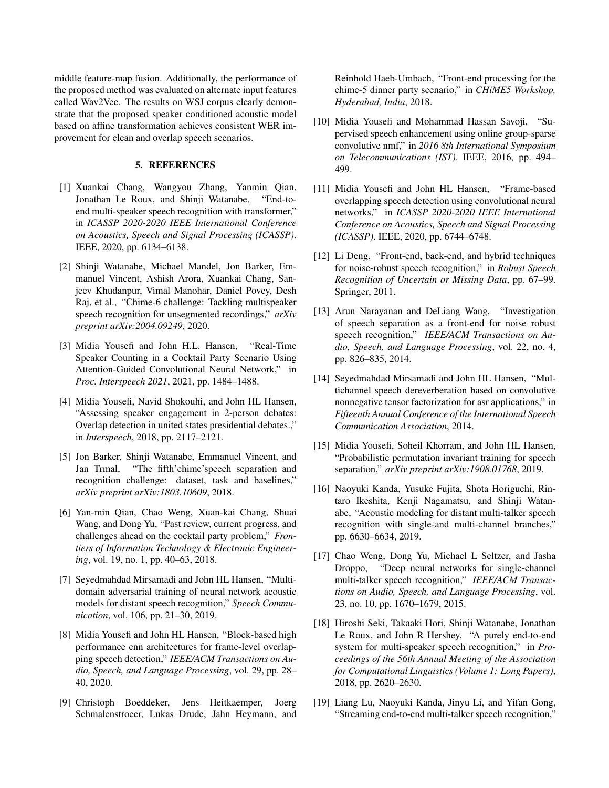middle feature-map fusion. Additionally, the performance of the proposed method was evaluated on alternate input features called Wav2Vec. The results on WSJ corpus clearly demonstrate that the proposed speaker conditioned acoustic model based on affine transformation achieves consistent WER improvement for clean and overlap speech scenarios.

## 5. REFERENCES

- <span id="page-4-0"></span>[1] Xuankai Chang, Wangyou Zhang, Yanmin Qian, Jonathan Le Roux, and Shinji Watanabe, "End-toend multi-speaker speech recognition with transformer," in *ICASSP 2020-2020 IEEE International Conference on Acoustics, Speech and Signal Processing (ICASSP)*. IEEE, 2020, pp. 6134–6138.
- <span id="page-4-1"></span>[2] Shinji Watanabe, Michael Mandel, Jon Barker, Emmanuel Vincent, Ashish Arora, Xuankai Chang, Sanjeev Khudanpur, Vimal Manohar, Daniel Povey, Desh Raj, et al., "Chime-6 challenge: Tackling multispeaker speech recognition for unsegmented recordings," *arXiv preprint arXiv:2004.09249*, 2020.
- <span id="page-4-2"></span>[3] Midia Yousefi and John H.L. Hansen, "Real-Time Speaker Counting in a Cocktail Party Scenario Using Attention-Guided Convolutional Neural Network," in *Proc. Interspeech 2021*, 2021, pp. 1484–1488.
- <span id="page-4-3"></span>[4] Midia Yousefi, Navid Shokouhi, and John HL Hansen, "Assessing speaker engagement in 2-person debates: Overlap detection in united states presidential debates.," in *Interspeech*, 2018, pp. 2117–2121.
- <span id="page-4-4"></span>[5] Jon Barker, Shinji Watanabe, Emmanuel Vincent, and Jan Trmal, "The fifth'chime'speech separation and recognition challenge: dataset, task and baselines," *arXiv preprint arXiv:1803.10609*, 2018.
- <span id="page-4-5"></span>[6] Yan-min Qian, Chao Weng, Xuan-kai Chang, Shuai Wang, and Dong Yu, "Past review, current progress, and challenges ahead on the cocktail party problem," *Frontiers of Information Technology & Electronic Engineering*, vol. 19, no. 1, pp. 40–63, 2018.
- <span id="page-4-6"></span>[7] Seyedmahdad Mirsamadi and John HL Hansen, "Multidomain adversarial training of neural network acoustic models for distant speech recognition," *Speech Communication*, vol. 106, pp. 21–30, 2019.
- <span id="page-4-7"></span>[8] Midia Yousefi and John HL Hansen, "Block-based high performance cnn architectures for frame-level overlapping speech detection," *IEEE/ACM Transactions on Audio, Speech, and Language Processing*, vol. 29, pp. 28– 40, 2020.
- <span id="page-4-8"></span>[9] Christoph Boeddeker, Jens Heitkaemper, Joerg Schmalenstroeer, Lukas Drude, Jahn Heymann, and

Reinhold Haeb-Umbach, "Front-end processing for the chime-5 dinner party scenario," in *CHiME5 Workshop, Hyderabad, India*, 2018.

- <span id="page-4-9"></span>[10] Midia Yousefi and Mohammad Hassan Savoji, "Supervised speech enhancement using online group-sparse convolutive nmf," in *2016 8th International Symposium on Telecommunications (IST)*. IEEE, 2016, pp. 494– 499.
- <span id="page-4-10"></span>[11] Midia Yousefi and John HL Hansen, "Frame-based overlapping speech detection using convolutional neural networks," in *ICASSP 2020-2020 IEEE International Conference on Acoustics, Speech and Signal Processing (ICASSP)*. IEEE, 2020, pp. 6744–6748.
- <span id="page-4-11"></span>[12] Li Deng, "Front-end, back-end, and hybrid techniques for noise-robust speech recognition," in *Robust Speech Recognition of Uncertain or Missing Data*, pp. 67–99. Springer, 2011.
- <span id="page-4-12"></span>[13] Arun Narayanan and DeLiang Wang, "Investigation of speech separation as a front-end for noise robust speech recognition," *IEEE/ACM Transactions on Audio, Speech, and Language Processing*, vol. 22, no. 4, pp. 826–835, 2014.
- <span id="page-4-13"></span>[14] Seyedmahdad Mirsamadi and John HL Hansen, "Multichannel speech dereverberation based on convolutive nonnegative tensor factorization for asr applications," in *Fifteenth Annual Conference of the International Speech Communication Association*, 2014.
- <span id="page-4-14"></span>[15] Midia Yousefi, Soheil Khorram, and John HL Hansen, "Probabilistic permutation invariant training for speech separation," *arXiv preprint arXiv:1908.01768*, 2019.
- <span id="page-4-15"></span>[16] Naoyuki Kanda, Yusuke Fujita, Shota Horiguchi, Rintaro Ikeshita, Kenji Nagamatsu, and Shinji Watanabe, "Acoustic modeling for distant multi-talker speech recognition with single-and multi-channel branches," pp. 6630–6634, 2019.
- <span id="page-4-16"></span>[17] Chao Weng, Dong Yu, Michael L Seltzer, and Jasha Droppo, "Deep neural networks for single-channel multi-talker speech recognition," *IEEE/ACM Transactions on Audio, Speech, and Language Processing*, vol. 23, no. 10, pp. 1670–1679, 2015.
- <span id="page-4-17"></span>[18] Hiroshi Seki, Takaaki Hori, Shinji Watanabe, Jonathan Le Roux, and John R Hershey, "A purely end-to-end system for multi-speaker speech recognition," in *Proceedings of the 56th Annual Meeting of the Association for Computational Linguistics (Volume 1: Long Papers)*, 2018, pp. 2620–2630.
- <span id="page-4-18"></span>[19] Liang Lu, Naoyuki Kanda, Jinyu Li, and Yifan Gong, "Streaming end-to-end multi-talker speech recognition,"